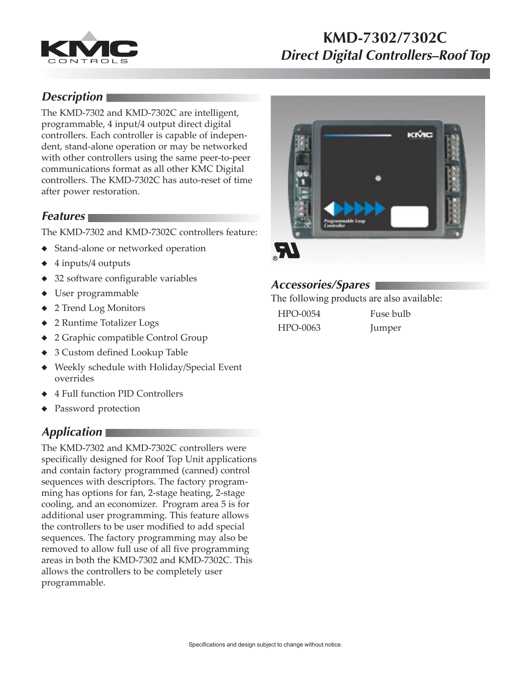

# **KMD-7302/7302C Direct Digital Controllers–Roof Top**

## **Description**

The KMD-7302 and KMD-7302C are intelligent, programmable, 4 input/4 output direct digital controllers. Each controller is capable of independent, stand-alone operation or may be networked with other controllers using the same peer-to-peer communications format as all other KMC Digital controllers. The KMD-7302C has auto-reset of time after power restoration.

#### **Features**

The KMD-7302 and KMD-7302C controllers feature:

- ◆ Stand-alone or networked operation
- ◆ 4 inputs/4 outputs
- ◆ 32 software configurable variables
- ◆ User programmable
- ◆ 2 Trend Log Monitors
- ◆ 2 Runtime Totalizer Logs
- ◆ 2 Graphic compatible Control Group
- ◆ 3 Custom defined Lookup Table
- ◆ Weekly schedule with Holiday/Special Event overrides
- ◆ 4 Full function PID Controllers
- ◆ Password protection

## **Application**

The KMD-7302 and KMD-7302C controllers were specifically designed for Roof Top Unit applications and contain factory programmed (canned) control sequences with descriptors. The factory programming has options for fan, 2-stage heating, 2-stage cooling, and an economizer. Program area 5 is for additional user programming. This feature allows the controllers to be user modified to add special sequences. The factory programming may also be removed to allow full use of all five programming areas in both the KMD-7302 and KMD-7302C. This allows the controllers to be completely user programmable.



#### **Accessories/Spares**

The following products are also available:

| HPO-0054 | Fuse bulb |
|----------|-----------|
| HPO-0063 | Jumper    |